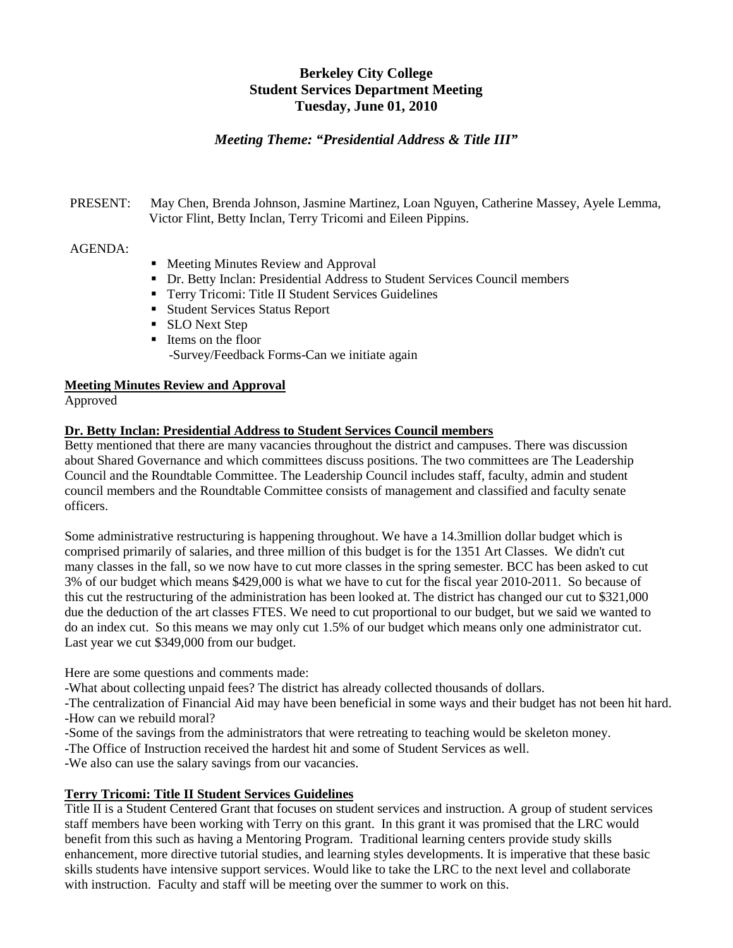# **Berkeley City College Student Services Department Meeting Tuesday, June 01, 2010**

# *Meeting Theme: "Presidential Address & Title III"*

PRESENT: May Chen, Brenda Johnson, Jasmine Martinez, Loan Nguyen, Catherine Massey, Ayele Lemma, Victor Flint, Betty Inclan, Terry Tricomi and Eileen Pippins.

#### AGENDA:

- Meeting Minutes Review and Approval
- Dr. Betty Inclan: Presidential Address to Student Services Council members
- **Terry Tricomi: Title II Student Services Guidelines**
- **Student Services Status Report**
- **SLO** Next Step
- Items on the floor -Survey/Feedback Forms-Can we initiate again

### **Meeting Minutes Review and Approval**

Approved

### **Dr. Betty Inclan: Presidential Address to Student Services Council members**

Betty mentioned that there are many vacancies throughout the district and campuses. There was discussion about Shared Governance and which committees discuss positions. The two committees are The Leadership Council and the Roundtable Committee. The Leadership Council includes staff, faculty, admin and student council members and the Roundtable Committee consists of management and classified and faculty senate officers.

Some administrative restructuring is happening throughout. We have a 14.3million dollar budget which is comprised primarily of salaries, and three million of this budget is for the 1351 Art Classes. We didn't cut many classes in the fall, so we now have to cut more classes in the spring semester. BCC has been asked to cut 3% of our budget which means \$429,000 is what we have to cut for the fiscal year 2010-2011. So because of this cut the restructuring of the administration has been looked at. The district has changed our cut to \$321,000 due the deduction of the art classes FTES. We need to cut proportional to our budget, but we said we wanted to do an index cut. So this means we may only cut 1.5% of our budget which means only one administrator cut. Last year we cut \$349,000 from our budget.

Here are some questions and comments made:

-What about collecting unpaid fees? The district has already collected thousands of dollars.

-The centralization of Financial Aid may have been beneficial in some ways and their budget has not been hit hard. -How can we rebuild moral?

- -Some of the savings from the administrators that were retreating to teaching would be skeleton money.
- -The Office of Instruction received the hardest hit and some of Student Services as well.

-We also can use the salary savings from our vacancies.

### **Terry Tricomi: Title II Student Services Guidelines**

Title II is a Student Centered Grant that focuses on student services and instruction. A group of student services staff members have been working with Terry on this grant. In this grant it was promised that the LRC would benefit from this such as having a Mentoring Program. Traditional learning centers provide study skills enhancement, more directive tutorial studies, and learning styles developments. It is imperative that these basic skills students have intensive support services. Would like to take the LRC to the next level and collaborate with instruction. Faculty and staff will be meeting over the summer to work on this.